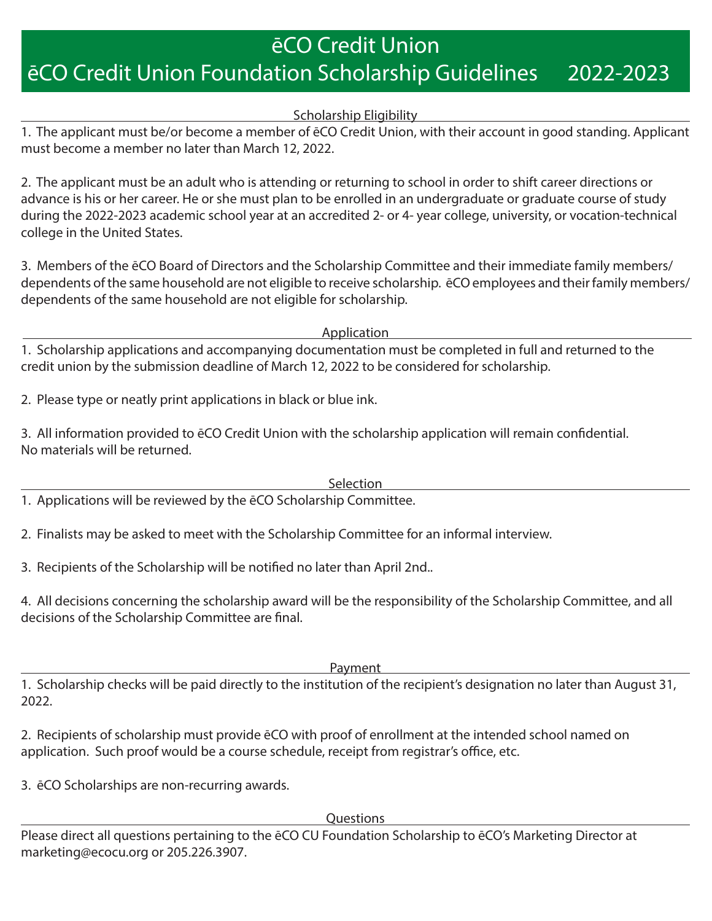## ēCO Credit Union ēCO Credit Union Foundation Scholarship Guidelines 2022-2023

## Scholarship Eligibility

1. The applicant must be/or become a member of ēCO Credit Union, with their account in good standing. Applicant must become a member no later than March 12, 2022.

2. The applicant must be an adult who is attending or returning to school in order to shift career directions or advance is his or her career. He or she must plan to be enrolled in an undergraduate or graduate course of study during the 2022-2023 academic school year at an accredited 2- or 4- year college, university, or vocation-technical college in the United States.

3. Members of the ēCO Board of Directors and the Scholarship Committee and their immediate family members/ dependents of the same household are not eligible to receive scholarship. ēCO employees and their family members/ dependents of the same household are not eligible for scholarship.

Application

1. Scholarship applications and accompanying documentation must be completed in full and returned to the credit union by the submission deadline of March 12, 2022 to be considered for scholarship.

2. Please type or neatly print applications in black or blue ink.

3. All information provided to ēCO Credit Union with the scholarship application will remain confidential. No materials will be returned.

**Selection** 

1. Applications will be reviewed by the ēCO Scholarship Committee.

2. Finalists may be asked to meet with the Scholarship Committee for an informal interview.

3. Recipients of the Scholarship will be notified no later than April 2nd..

4. All decisions concerning the scholarship award will be the responsibility of the Scholarship Committee, and all decisions of the Scholarship Committee are final.

Payment

1. Scholarship checks will be paid directly to the institution of the recipient's designation no later than August 31, 2022.

2. Recipients of scholarship must provide ēCO with proof of enrollment at the intended school named on application. Such proof would be a course schedule, receipt from registrar's office, etc.

3. ēCO Scholarships are non-recurring awards.

**Questions** 

Please direct all questions pertaining to the ēCO CU Foundation Scholarship to ēCO's Marketing Director at marketing@ecocu.org or 205.226.3907.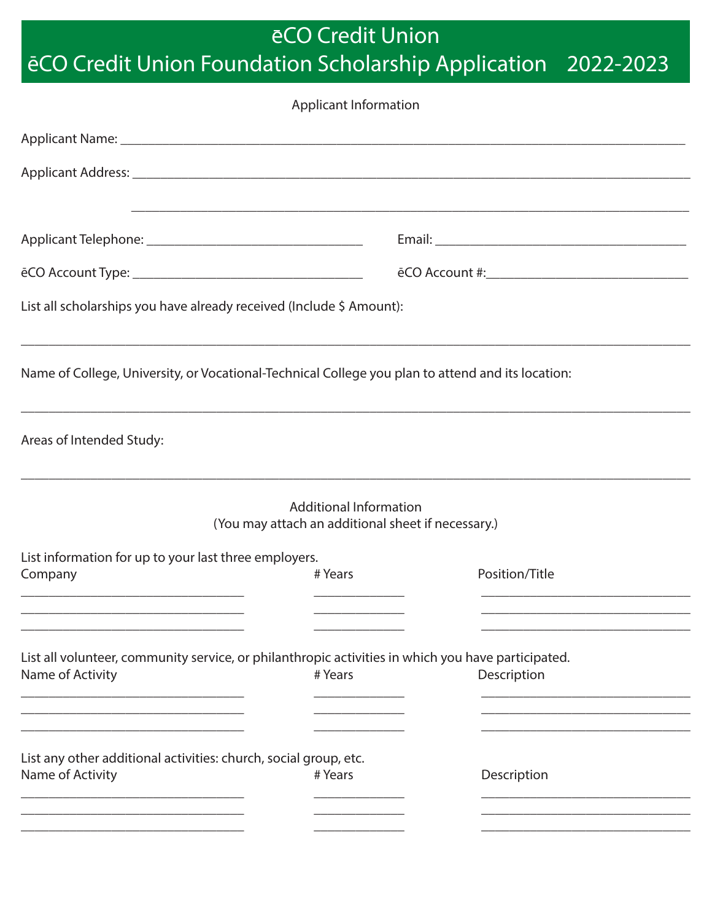eCO Credit Union

## ēCO Credit Union Foundation Scholarship Application 2022-2023

| <b>Applicant Information</b>                                                                                           |                                                                                     |                                                                                  |  |
|------------------------------------------------------------------------------------------------------------------------|-------------------------------------------------------------------------------------|----------------------------------------------------------------------------------|--|
|                                                                                                                        |                                                                                     |                                                                                  |  |
|                                                                                                                        |                                                                                     |                                                                                  |  |
|                                                                                                                        |                                                                                     |                                                                                  |  |
|                                                                                                                        |                                                                                     |                                                                                  |  |
| List all scholarships you have already received (Include \$ Amount):                                                   |                                                                                     |                                                                                  |  |
| Name of College, University, or Vocational-Technical College you plan to attend and its location:                      |                                                                                     |                                                                                  |  |
| Areas of Intended Study:                                                                                               |                                                                                     | ,我们也不能在这里的时候,我们也不能会在这里,我们也不能会不能会不能会不能会不能会不能会不能会不能会不能会不能会不能会。""我们的是我们的,我们也不能会不能会不 |  |
|                                                                                                                        | <b>Additional Information</b><br>(You may attach an additional sheet if necessary.) |                                                                                  |  |
| List information for up to your last three employers.<br>Company                                                       | # Years                                                                             | Position/Title                                                                   |  |
| List all volunteer, community service, or philanthropic activities in which you have participated.<br>Name of Activity | # Years                                                                             | Description                                                                      |  |
|                                                                                                                        |                                                                                     |                                                                                  |  |
| List any other additional activities: church, social group, etc.<br>Name of Activity                                   | # Years                                                                             | Description                                                                      |  |
|                                                                                                                        |                                                                                     |                                                                                  |  |